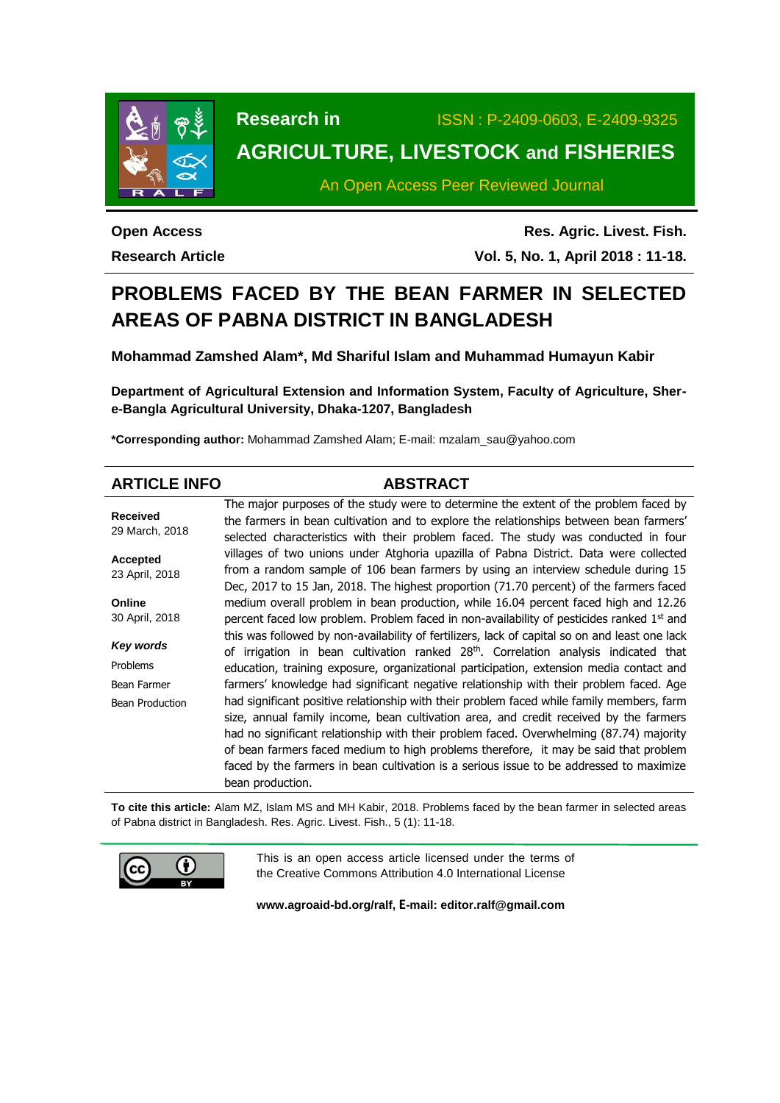

**Research in** ISSN : P-2409-0603, E-2409-9325

# **AGRICULTURE, LIVESTOCK and FISHERIES**

An Open Access Peer Reviewed Journal

**Open Access Research Article**

**Res. Agric. Livest. Fish. Vol. 5, No. 1, April 2018 : 11-18.**

# **PROBLEMS FACED BY THE BEAN FARMER IN SELECTED AREAS OF PABNA DISTRICT IN BANGLADESH**

**Mohammad Zamshed Alam\*, Md Shariful Islam and Muhammad Humayun Kabir**

**Department of Agricultural Extension and Information System, Faculty of Agriculture, Shere-Bangla Agricultural University, Dhaka-1207, Bangladesh**

**\*Corresponding author:** Mohammad Zamshed Alam; E-mail: mzalam\_sau@yahoo.com

| <b>ARTICLE INFO</b>               | <b>ABSTRACT</b>                                                                                                                                                                                                                                                                                                                                                                                                                                                  |
|-----------------------------------|------------------------------------------------------------------------------------------------------------------------------------------------------------------------------------------------------------------------------------------------------------------------------------------------------------------------------------------------------------------------------------------------------------------------------------------------------------------|
| <b>Received</b><br>29 March, 2018 | The major purposes of the study were to determine the extent of the problem faced by<br>the farmers in bean cultivation and to explore the relationships between bean farmers'<br>selected characteristics with their problem faced. The study was conducted in four                                                                                                                                                                                             |
| <b>Accepted</b><br>23 April, 2018 | villages of two unions under Atghoria upazilla of Pabna District. Data were collected<br>from a random sample of 106 bean farmers by using an interview schedule during 15<br>Dec, 2017 to 15 Jan, 2018. The highest proportion (71.70 percent) of the farmers faced                                                                                                                                                                                             |
| Online<br>30 April, 2018          | medium overall problem in bean production, while 16.04 percent faced high and 12.26<br>percent faced low problem. Problem faced in non-availability of pesticides ranked 1 <sup>st</sup> and                                                                                                                                                                                                                                                                     |
| Key words<br>Problems             | this was followed by non-availability of fertilizers, lack of capital so on and least one lack<br>of irrigation in bean cultivation ranked 28 <sup>th</sup> . Correlation analysis indicated that                                                                                                                                                                                                                                                                |
| Bean Farmer                       | education, training exposure, organizational participation, extension media contact and<br>farmers' knowledge had significant negative relationship with their problem faced. Age                                                                                                                                                                                                                                                                                |
| Bean Production                   | had significant positive relationship with their problem faced while family members, farm<br>size, annual family income, bean cultivation area, and credit received by the farmers<br>had no significant relationship with their problem faced. Overwhelming (87.74) majority<br>of bean farmers faced medium to high problems therefore, it may be said that problem<br>faced by the farmers in bean cultivation is a serious issue to be addressed to maximize |
|                                   | bean production.                                                                                                                                                                                                                                                                                                                                                                                                                                                 |

**To cite this article:** Alam MZ, Islam MS and MH Kabir, 2018. Problems faced by the bean farmer in selected areas of Pabna district in Bangladesh. Res. Agric. Livest. Fish., 5 (1): 11-18.



This is an open access article licensed under the terms of the Creative Commons Attribution 4.0 International License

**[www.agroaid-bd.org/ralf,](http://www.agroaid-bd.org/ralf) E-mail: [editor.ralf@gmail.com](mailto:editor.ralf@gmail.com)**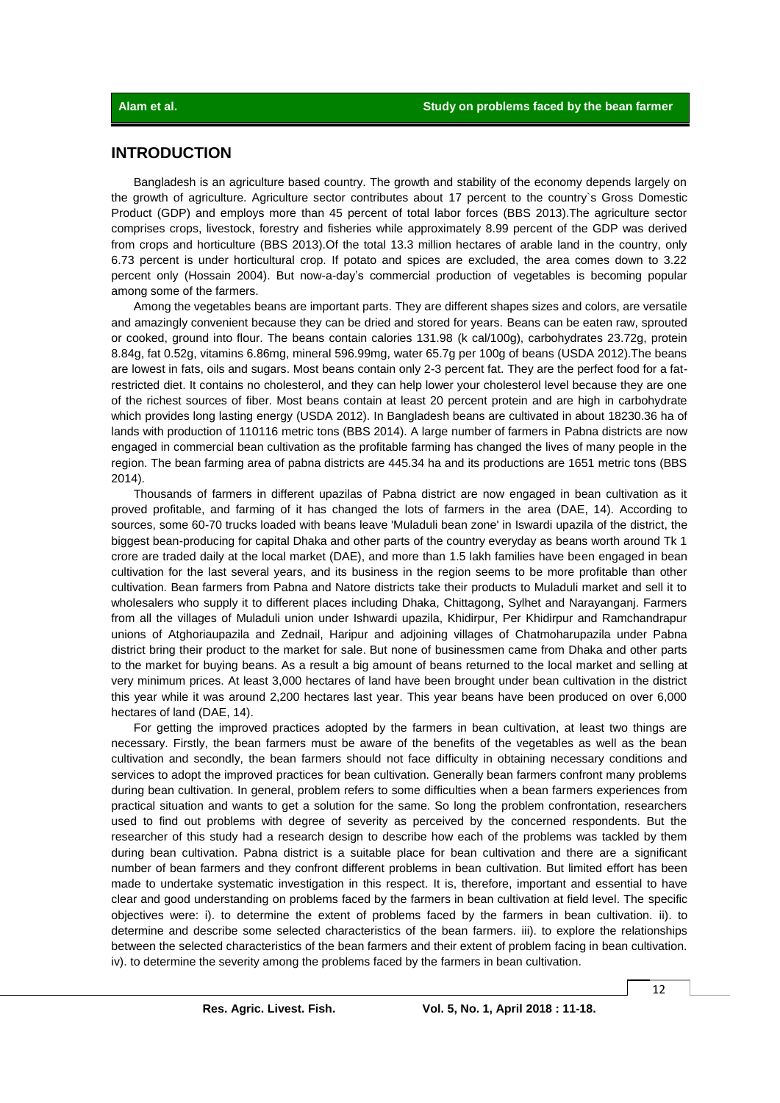# **INTRODUCTION**

Bangladesh is an agriculture based country. The growth and stability of the economy depends largely on the growth of agriculture. Agriculture sector contributes about 17 percent to the country`s Gross Domestic Product (GDP) and employs more than 45 percent of total labor forces (BBS 2013).The agriculture sector comprises crops, livestock, forestry and fisheries while approximately 8.99 percent of the GDP was derived from crops and horticulture (BBS 2013).Of the total 13.3 million hectares of arable land in the country, only 6.73 percent is under horticultural crop. If potato and spices are excluded, the area comes down to 3.22 percent only (Hossain 2004). But now-a-day's commercial production of vegetables is becoming popular among some of the farmers.

Among the vegetables beans are important parts. They are different shapes sizes and colors, are versatile and amazingly convenient because they can be dried and stored for years. Beans can be eaten raw, sprouted or cooked, ground into flour. The beans contain calories 131.98 (k cal/100g), carbohydrates 23.72g, protein 8.84g, fat 0.52g, vitamins 6.86mg, mineral 596.99mg, water 65.7g per 100g of beans (USDA 2012).The beans are lowest in fats, oils and sugars. Most beans contain only 2-3 percent fat. They are the perfect food for a fatrestricted diet. It contains no cholesterol, and they can help lower your cholesterol level because they are one of the richest sources of fiber. Most beans contain at least 20 percent protein and are high in carbohydrate which provides long lasting energy (USDA 2012). In Bangladesh beans are cultivated in about 18230.36 ha of lands with production of 110116 metric tons (BBS 2014). A large number of farmers in Pabna districts are now engaged in commercial bean cultivation as the profitable farming has changed the lives of many people in the region. The bean farming area of pabna districts are 445.34 ha and its productions are 1651 metric tons (BBS 2014).

Thousands of farmers in different upazilas of Pabna district are now engaged in bean cultivation as it proved profitable, and farming of it has changed the lots of farmers in the area (DAE, 14). According to sources, some 60-70 trucks loaded with beans leave 'Muladuli bean zone' in Iswardi upazila of the district, the biggest bean-producing for capital Dhaka and other parts of the country everyday as beans worth around Tk 1 crore are traded daily at the local market (DAE), and more than 1.5 lakh families have been engaged in bean cultivation for the last several years, and its business in the region seems to be more profitable than other cultivation. Bean farmers from Pabna and Natore districts take their products to Muladuli market and sell it to wholesalers who supply it to different places including Dhaka, Chittagong, Sylhet and Narayanganj. Farmers from all the villages of Muladuli union under Ishwardi upazila, Khidirpur, Per Khidirpur and Ramchandrapur unions of Atghoriaupazila and Zednail, Haripur and adjoining villages of Chatmoharupazila under Pabna district bring their product to the market for sale. But none of businessmen came from Dhaka and other parts to the market for buying beans. As a result a big amount of beans returned to the local market and selling at very minimum prices. At least 3,000 hectares of land have been brought under bean cultivation in the district this year while it was around 2,200 hectares last year. This year beans have been produced on over 6,000 hectares of land (DAE, 14).

For getting the improved practices adopted by the farmers in bean cultivation, at least two things are necessary. Firstly, the bean farmers must be aware of the benefits of the vegetables as well as the bean cultivation and secondly, the bean farmers should not face difficulty in obtaining necessary conditions and services to adopt the improved practices for bean cultivation. Generally bean farmers confront many problems during bean cultivation. In general, problem refers to some difficulties when a bean farmers experiences from practical situation and wants to get a solution for the same. So long the problem confrontation, researchers used to find out problems with degree of severity as perceived by the concerned respondents. But the researcher of this study had a research design to describe how each of the problems was tackled by them during bean cultivation. Pabna district is a suitable place for bean cultivation and there are a significant number of bean farmers and they confront different problems in bean cultivation. But limited effort has been made to undertake systematic investigation in this respect. It is, therefore, important and essential to have clear and good understanding on problems faced by the farmers in bean cultivation at field level. The specific objectives were: i). to determine the extent of problems faced by the farmers in bean cultivation. ii). to determine and describe some selected characteristics of the bean farmers. iii). to explore the relationships between the selected characteristics of the bean farmers and their extent of problem facing in bean cultivation. iv). to determine the severity among the problems faced by the farmers in bean cultivation.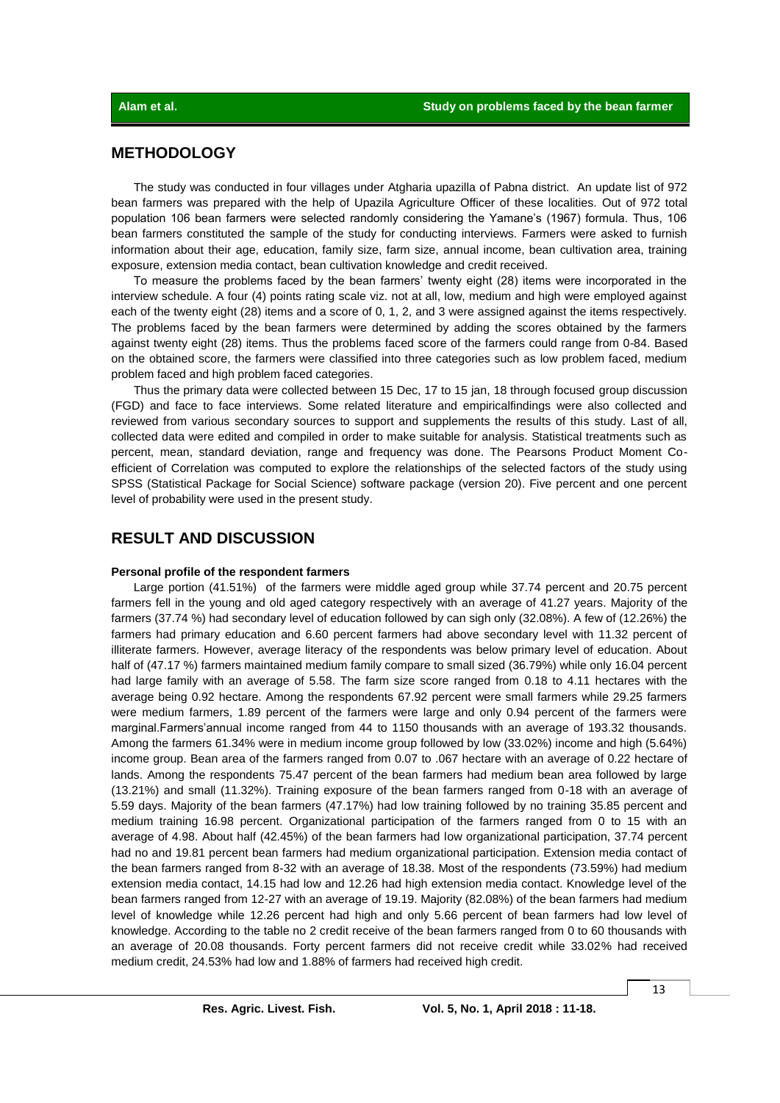## **METHODOLOGY**

The study was conducted in four villages under Atgharia upazilla of Pabna district. An update list of 972 bean farmers was prepared with the help of Upazila Agriculture Officer of these localities. Out of 972 total population 106 bean farmers were selected randomly considering the Yamane's (1967) formula. Thus, 106 bean farmers constituted the sample of the study for conducting interviews. Farmers were asked to furnish information about their age, education, family size, farm size, annual income, bean cultivation area, training exposure, extension media contact, bean cultivation knowledge and credit received.

To measure the problems faced by the bean farmers' twenty eight (28) items were incorporated in the interview schedule. A four (4) points rating scale viz. not at all, low, medium and high were employed against each of the twenty eight (28) items and a score of 0, 1, 2, and 3 were assigned against the items respectively. The problems faced by the bean farmers were determined by adding the scores obtained by the farmers against twenty eight (28) items. Thus the problems faced score of the farmers could range from 0-84. Based on the obtained score, the farmers were classified into three categories such as low problem faced, medium problem faced and high problem faced categories.

Thus the primary data were collected between 15 Dec, 17 to 15 jan, 18 through focused group discussion (FGD) and face to face interviews. Some related literature and empiricalfindings were also collected and reviewed from various secondary sources to support and supplements the results of this study. Last of all, collected data were edited and compiled in order to make suitable for analysis. Statistical treatments such as percent, mean, standard deviation, range and frequency was done. The Pearsons Product Moment Coefficient of Correlation was computed to explore the relationships of the selected factors of the study using SPSS (Statistical Package for Social Science) software package (version 20). Five percent and one percent level of probability were used in the present study.

# **RESULT AND DISCUSSION**

#### **Personal profile of the respondent farmers**

Large portion (41.51%) of the farmers were middle aged group while 37.74 percent and 20.75 percent farmers fell in the young and old aged category respectively with an average of 41.27 years. Majority of the farmers (37.74 %) had secondary level of education followed by can sigh only (32.08%). A few of (12.26%) the farmers had primary education and 6.60 percent farmers had above secondary level with 11.32 percent of illiterate farmers. However, average literacy of the respondents was below primary level of education. About half of (47.17 %) farmers maintained medium family compare to small sized (36.79%) while only 16.04 percent had large family with an average of 5.58. The farm size score ranged from 0.18 to 4.11 hectares with the average being 0.92 hectare. Among the respondents 67.92 percent were small farmers while 29.25 farmers were medium farmers, 1.89 percent of the farmers were large and only 0.94 percent of the farmers were marginal.Farmers'annual income ranged from 44 to 1150 thousands with an average of 193.32 thousands. Among the farmers 61.34% were in medium income group followed by low (33.02%) income and high (5.64%) income group. Bean area of the farmers ranged from 0.07 to .067 hectare with an average of 0.22 hectare of lands. Among the respondents 75.47 percent of the bean farmers had medium bean area followed by large (13.21%) and small (11.32%). Training exposure of the bean farmers ranged from 0-18 with an average of 5.59 days. Majority of the bean farmers (47.17%) had low training followed by no training 35.85 percent and medium training 16.98 percent. Organizational participation of the farmers ranged from 0 to 15 with an average of 4.98. About half (42.45%) of the bean farmers had low organizational participation, 37.74 percent had no and 19.81 percent bean farmers had medium organizational participation. Extension media contact of the bean farmers ranged from 8-32 with an average of 18.38. Most of the respondents (73.59%) had medium extension media contact, 14.15 had low and 12.26 had high extension media contact. Knowledge level of the bean farmers ranged from 12-27 with an average of 19.19. Majority (82.08%) of the bean farmers had medium level of knowledge while 12.26 percent had high and only 5.66 percent of bean farmers had low level of knowledge. According to the table no 2 credit receive of the bean farmers ranged from 0 to 60 thousands with an average of 20.08 thousands. Forty percent farmers did not receive credit while 33.02% had received medium credit, 24.53% had low and 1.88% of farmers had received high credit.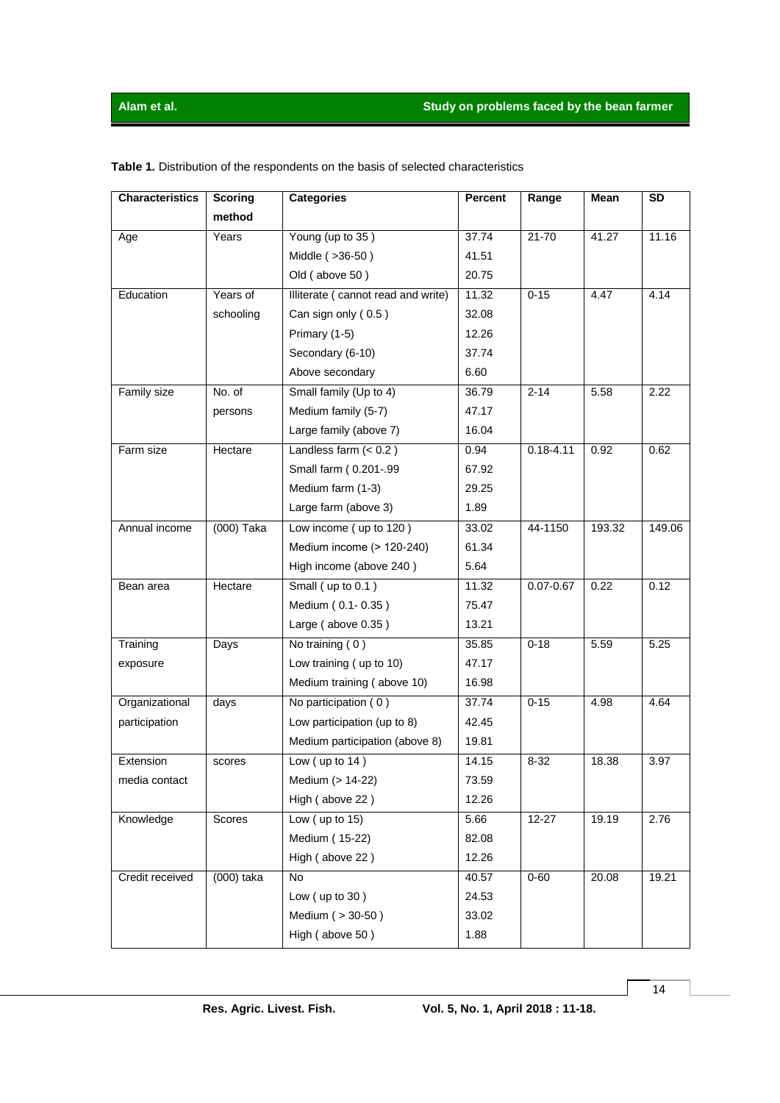| <b>Characteristics</b> | <b>Scoring</b> | <b>Categories</b>                  | <b>Percent</b> | Range         | Mean   | <b>SD</b> |
|------------------------|----------------|------------------------------------|----------------|---------------|--------|-----------|
|                        | method         |                                    |                |               |        |           |
| Age                    | Years          | Young (up to 35)                   | 37.74          | $21 - 70$     | 41.27  | 11.16     |
|                        |                | Middle (>36-50)                    | 41.51          |               |        |           |
|                        |                | Old (above 50)                     | 20.75          |               |        |           |
| Education              | Years of       | Illiterate (cannot read and write) | 11.32          | $0 - 15$      | 4.47   | 4.14      |
|                        | schooling      | Can sign only (0.5)                | 32.08          |               |        |           |
|                        |                | Primary (1-5)                      | 12.26          |               |        |           |
|                        |                | Secondary (6-10)                   | 37.74          |               |        |           |
|                        |                | Above secondary                    | 6.60           |               |        |           |
| Family size            | No. of         | Small family (Up to 4)             | 36.79          | $2 - 14$      | 5.58   | 2.22      |
|                        | persons        | Medium family (5-7)                | 47.17          |               |        |           |
|                        |                | Large family (above 7)             | 16.04          |               |        |           |
| Farm size              | Hectare        | Landless farm $(0.2)$              | 0.94           | $0.18 - 4.11$ | 0.92   | 0.62      |
|                        |                | Small farm (0.201-.99              | 67.92          |               |        |           |
|                        |                | Medium farm (1-3)                  | 29.25          |               |        |           |
|                        |                | Large farm (above 3)               | 1.89           |               |        |           |
| Annual income          | $(000)$ Taka   | Low income (up to 120)             | 33.02          | 44-1150       | 193.32 | 149.06    |
|                        |                | Medium income (> 120-240)          | 61.34          |               |        |           |
|                        |                | High income (above 240)            | 5.64           |               |        |           |
| Bean area              | Hectare        | Small (up to 0.1)                  | 11.32          | $0.07 - 0.67$ | 0.22   | 0.12      |
|                        |                | Medium (0.1-0.35)                  | 75.47          |               |        |           |
|                        |                | Large (above 0.35)                 | 13.21          |               |        |           |
| Training               | Days           | No training (0)                    | 35.85          | $0 - 18$      | 5.59   | 5.25      |
| exposure               |                | Low training (up to 10)            | 47.17          |               |        |           |
|                        |                | Medium training (above 10)         | 16.98          |               |        |           |
| Organizational         | days           | No participation (0)               | 37.74          | $0 - 15$      | 4.98   | 4.64      |
| participation          |                | Low participation (up to 8)        | 42.45          |               |        |           |
|                        |                | Medium participation (above 8)     | 19.81          |               |        |           |
| Extension              | scores         | Low $($ up to 14)                  | 14.15          | $8 - 32$      | 18.38  | 3.97      |
| media contact          |                | Medium (> 14-22)                   | 73.59          |               |        |           |
|                        |                | High (above 22)                    | 12.26          |               |        |           |
| Knowledge              | Scores         | Low $($ up to $15)$                | 5.66           | $12 - 27$     | 19.19  | 2.76      |
|                        |                | Medium (15-22)                     | 82.08          |               |        |           |
|                        |                | High (above 22)                    | 12.26          |               |        |           |
| Credit received        | (000) taka     | No                                 | 40.57          | $0 - 60$      | 20.08  | 19.21     |
|                        |                | Low $($ up to 30 $)$               | 24.53          |               |        |           |
|                        |                | Medium ( > 30-50)                  | 33.02          |               |        |           |
|                        |                | High (above 50)                    | 1.88           |               |        |           |

**Table 1.** Distribution of the respondents on the basis of selected characteristics

14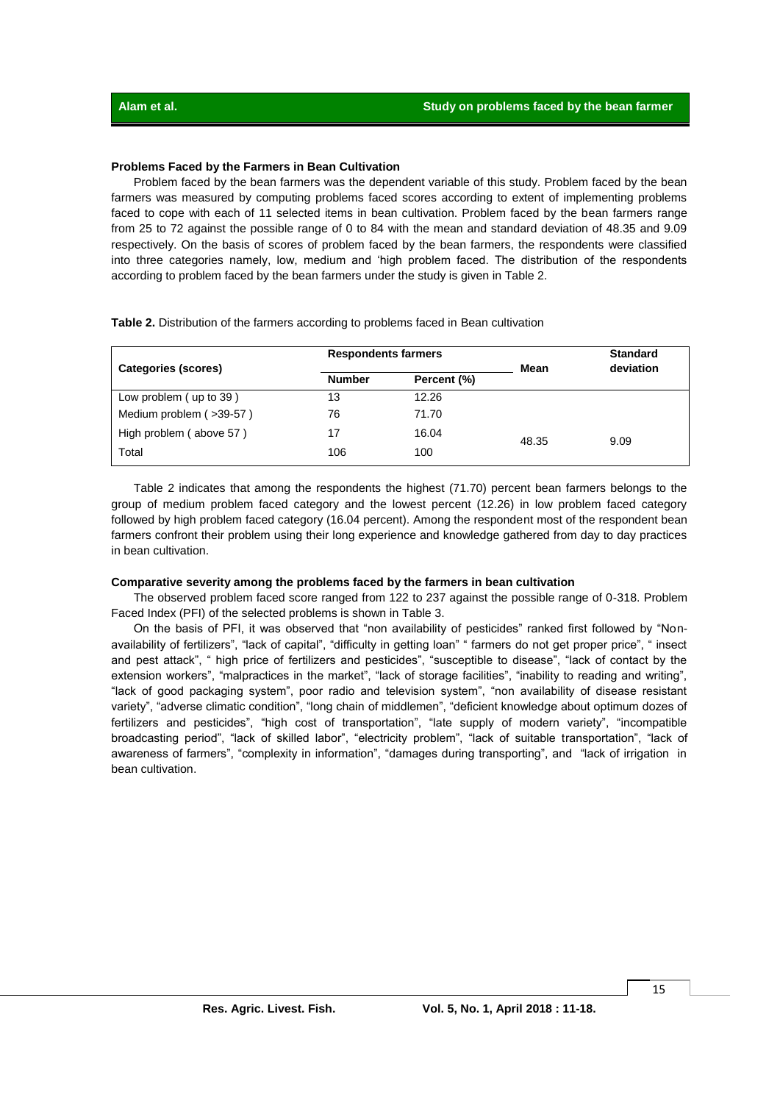#### **Problems Faced by the Farmers in Bean Cultivation**

Problem faced by the bean farmers was the dependent variable of this study. Problem faced by the bean farmers was measured by computing problems faced scores according to extent of implementing problems faced to cope with each of 11 selected items in bean cultivation. Problem faced by the bean farmers range from 25 to 72 against the possible range of 0 to 84 with the mean and standard deviation of 48.35 and 9.09 respectively. On the basis of scores of problem faced by the bean farmers, the respondents were classified into three categories namely, low, medium and 'high problem faced. The distribution of the respondents according to problem faced by the bean farmers under the study is given in Table 2.

**Table 2.** Distribution of the farmers according to problems faced in Bean cultivation

|                         | <b>Respondents farmers</b>   |       |       | <b>Standard</b> |  |
|-------------------------|------------------------------|-------|-------|-----------------|--|
| Categories (scores)     | <b>Number</b><br>Percent (%) |       | Mean  | deviation       |  |
| Low problem (up to 39)  | 13                           | 12.26 |       |                 |  |
| Medium problem (>39-57) | 76                           | 71.70 |       |                 |  |
| High problem (above 57) | 17                           | 16.04 | 48.35 | 9.09            |  |
| Total                   | 106                          | 100   |       |                 |  |

Table 2 indicates that among the respondents the highest (71.70) percent bean farmers belongs to the group of medium problem faced category and the lowest percent (12.26) in low problem faced category followed by high problem faced category (16.04 percent). Among the respondent most of the respondent bean farmers confront their problem using their long experience and knowledge gathered from day to day practices in bean cultivation.

#### **Comparative severity among the problems faced by the farmers in bean cultivation**

The observed problem faced score ranged from 122 to 237 against the possible range of 0-318. Problem Faced Index (PFI) of the selected problems is shown in Table 3.

On the basis of PFI, it was observed that "non availability of pesticides" ranked first followed by "Nonavailability of fertilizers", "lack of capital", "difficulty in getting loan" " farmers do not get proper price", " insect and pest attack", " high price of fertilizers and pesticides", "susceptible to disease", "lack of contact by the extension workers", "malpractices in the market", "lack of storage facilities", "inability to reading and writing", "lack of good packaging system", poor radio and television system", "non availability of disease resistant variety", "adverse climatic condition", "long chain of middlemen", "deficient knowledge about optimum dozes of fertilizers and pesticides", "high cost of transportation", "late supply of modern variety", "incompatible broadcasting period", "lack of skilled labor", "electricity problem", "lack of suitable transportation", "lack of awareness of farmers", "complexity in information", "damages during transporting", and "lack of irrigation in bean cultivation.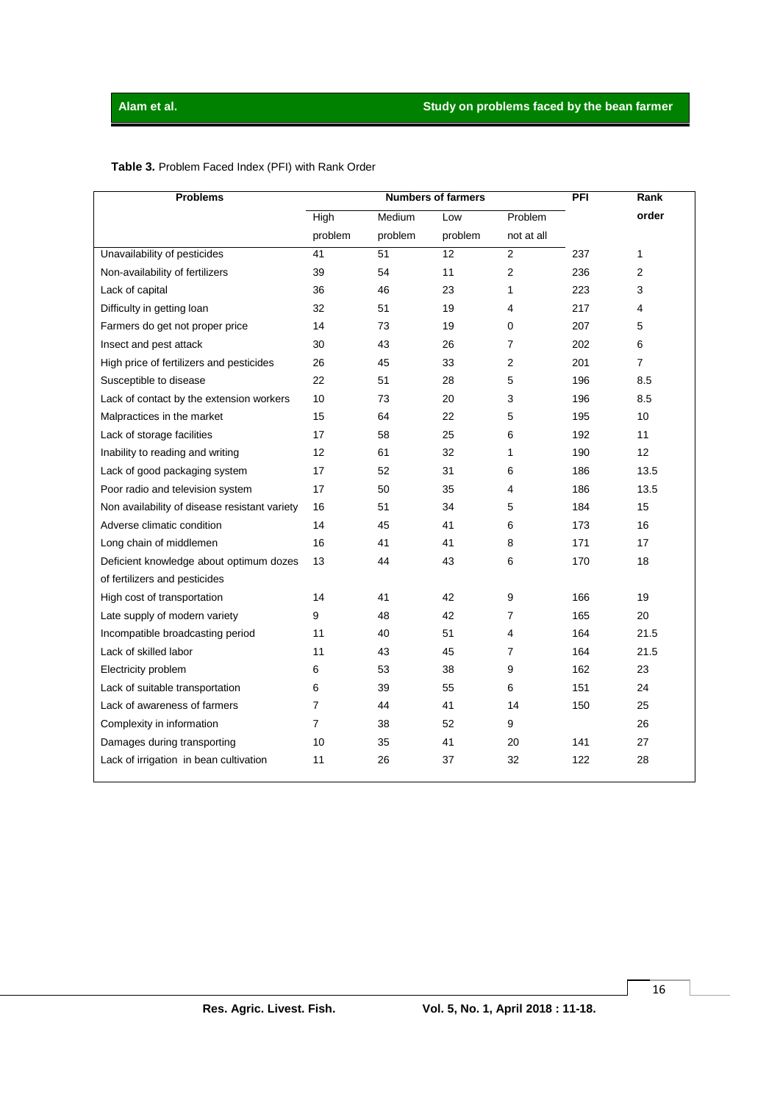| <b>Problems</b>                               | <b>Numbers of farmers</b> |         |         |                | PFI | Rank           |
|-----------------------------------------------|---------------------------|---------|---------|----------------|-----|----------------|
|                                               | High                      | Medium  | Low     | Problem        |     | order          |
|                                               | problem                   | problem | problem | not at all     |     |                |
| Unavailability of pesticides                  | 41                        | 51      | 12      | $\overline{2}$ | 237 | $\mathbf{1}$   |
| Non-availability of fertilizers               | 39                        | 54      | 11      | 2              | 236 | 2              |
| Lack of capital                               | 36                        | 46      | 23      | $\mathbf{1}$   | 223 | 3              |
| Difficulty in getting loan                    | 32                        | 51      | 19      | 4              | 217 | 4              |
| Farmers do get not proper price               | 14                        | 73      | 19      | 0              | 207 | 5              |
| Insect and pest attack                        | 30                        | 43      | 26      | 7              | 202 | 6              |
| High price of fertilizers and pesticides      | 26                        | 45      | 33      | 2              | 201 | $\overline{7}$ |
| Susceptible to disease                        | 22                        | 51      | 28      | 5              | 196 | 8.5            |
| Lack of contact by the extension workers      | 10                        | 73      | 20      | 3              | 196 | 8.5            |
| Malpractices in the market                    | 15                        | 64      | 22      | 5              | 195 | 10             |
| Lack of storage facilities                    | 17                        | 58      | 25      | 6              | 192 | 11             |
| Inability to reading and writing              | 12                        | 61      | 32      | 1              | 190 | 12             |
| Lack of good packaging system                 | 17                        | 52      | 31      | 6              | 186 | 13.5           |
| Poor radio and television system              | 17                        | 50      | 35      | 4              | 186 | 13.5           |
| Non availability of disease resistant variety | 16                        | 51      | 34      | 5              | 184 | 15             |
| Adverse climatic condition                    | 14                        | 45      | 41      | 6              | 173 | 16             |
| Long chain of middlemen                       | 16                        | 41      | 41      | 8              | 171 | 17             |
| Deficient knowledge about optimum dozes       | 13                        | 44      | 43      | 6              | 170 | 18             |
| of fertilizers and pesticides                 |                           |         |         |                |     |                |
| High cost of transportation                   | 14                        | 41      | 42      | 9              | 166 | 19             |
| Late supply of modern variety                 | 9                         | 48      | 42      | 7              | 165 | 20             |
| Incompatible broadcasting period              | 11                        | 40      | 51      | 4              | 164 | 21.5           |
| Lack of skilled labor                         | 11                        | 43      | 45      | 7              | 164 | 21.5           |
| Electricity problem                           | 6                         | 53      | 38      | 9              | 162 | 23             |
| Lack of suitable transportation               | 6                         | 39      | 55      | 6              | 151 | 24             |
| Lack of awareness of farmers                  | 7                         | 44      | 41      | 14             | 150 | 25             |
| Complexity in information                     | $\overline{7}$            | 38      | 52      | 9              |     | 26             |
| Damages during transporting                   | 10                        | 35      | 41      | 20             | 141 | 27             |
| Lack of irrigation in bean cultivation        | 11                        | 26      | 37      | 32             | 122 | 28             |
|                                               |                           |         |         |                |     |                |

## **Table 3.** Problem Faced Index (PFI) with Rank Order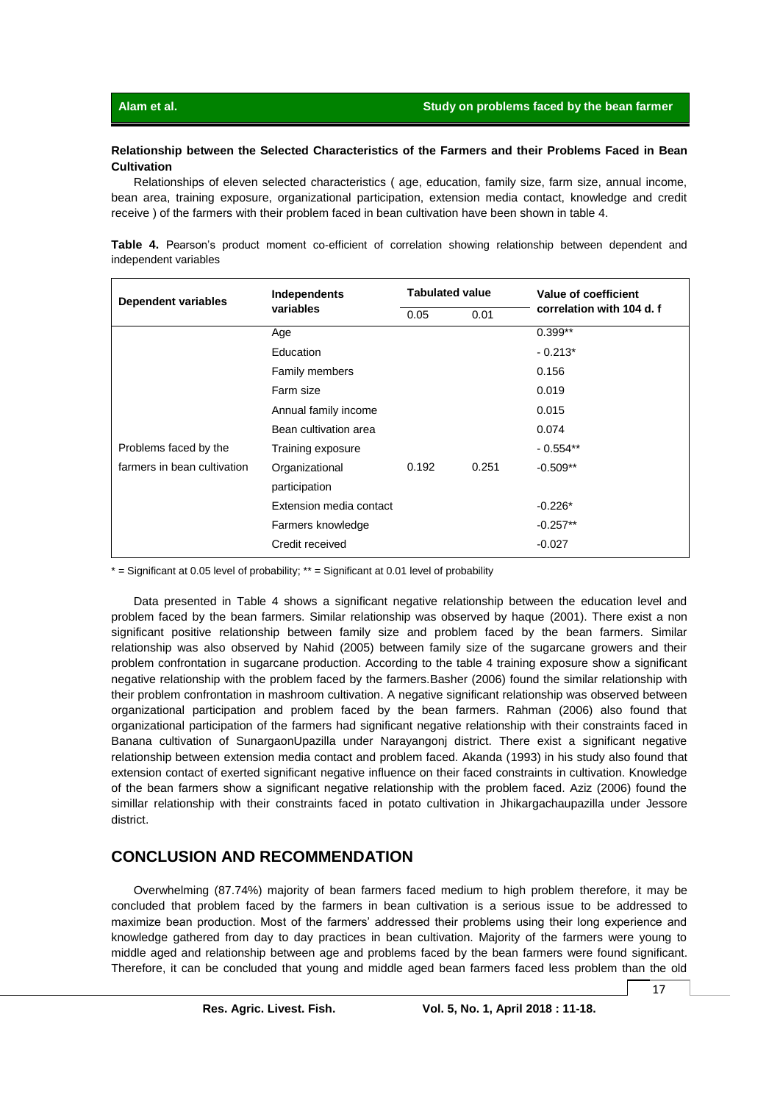### **Relationship between the Selected Characteristics of the Farmers and their Problems Faced in Bean Cultivation**

Relationships of eleven selected characteristics ( age, education, family size, farm size, annual income, bean area, training exposure, organizational participation, extension media contact, knowledge and credit receive ) of the farmers with their problem faced in bean cultivation have been shown in table 4.

**Table 4.** Pearson's product moment co-efficient of correlation showing relationship between dependent and independent variables

| <b>Dependent variables</b>  | Independents            | <b>Tabulated value</b> |       | Value of coefficient      |  |
|-----------------------------|-------------------------|------------------------|-------|---------------------------|--|
|                             | variables               | 0.05                   | 0.01  | correlation with 104 d. f |  |
|                             | Age                     |                        |       | $0.399**$                 |  |
|                             | Education               |                        |       | $-0.213*$                 |  |
|                             | Family members          |                        |       | 0.156                     |  |
|                             | Farm size               |                        |       | 0.019                     |  |
|                             | Annual family income    |                        |       | 0.015                     |  |
|                             | Bean cultivation area   |                        |       | 0.074                     |  |
| Problems faced by the       | Training exposure       |                        |       | $-0.554**$                |  |
| farmers in bean cultivation | Organizational          | 0.192                  | 0.251 | $-0.509**$                |  |
|                             | participation           |                        |       |                           |  |
|                             | Extension media contact |                        |       | $-0.226*$                 |  |
|                             | Farmers knowledge       |                        |       | $-0.257**$                |  |
|                             | Credit received         |                        |       | $-0.027$                  |  |

 $*$  = Significant at 0.05 level of probability;  $**$  = Significant at 0.01 level of probability

Data presented in Table 4 shows a significant negative relationship between the education level and problem faced by the bean farmers. Similar relationship was observed by haque (2001). There exist a non significant positive relationship between family size and problem faced by the bean farmers. Similar relationship was also observed by Nahid (2005) between family size of the sugarcane growers and their problem confrontation in sugarcane production. According to the table 4 training exposure show a significant negative relationship with the problem faced by the farmers.Basher (2006) found the similar relationship with their problem confrontation in mashroom cultivation. A negative significant relationship was observed between organizational participation and problem faced by the bean farmers. Rahman (2006) also found that organizational participation of the farmers had significant negative relationship with their constraints faced in Banana cultivation of SunargaonUpazilla under Narayangonj district. There exist a significant negative relationship between extension media contact and problem faced. Akanda (1993) in his study also found that extension contact of exerted significant negative influence on their faced constraints in cultivation. Knowledge of the bean farmers show a significant negative relationship with the problem faced. Aziz (2006) found the simillar relationship with their constraints faced in potato cultivation in Jhikargachaupazilla under Jessore district.

# **CONCLUSION AND RECOMMENDATION**

Overwhelming (87.74%) majority of bean farmers faced medium to high problem therefore, it may be concluded that problem faced by the farmers in bean cultivation is a serious issue to be addressed to maximize bean production. Most of the farmers' addressed their problems using their long experience and knowledge gathered from day to day practices in bean cultivation. Majority of the farmers were young to middle aged and relationship between age and problems faced by the bean farmers were found significant. Therefore, it can be concluded that young and middle aged bean farmers faced less problem than the old